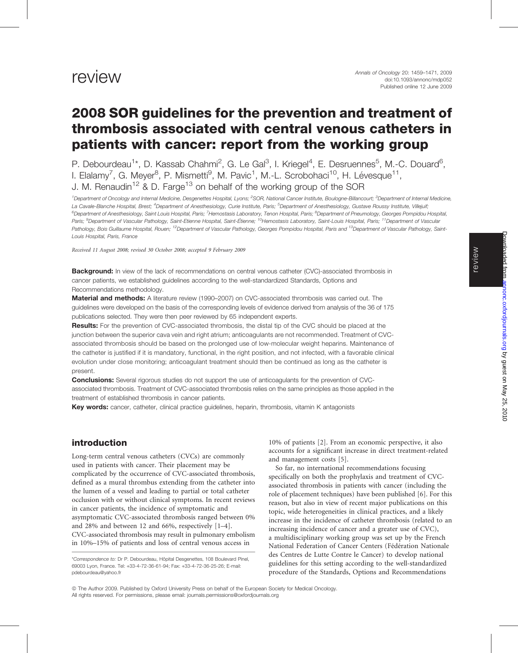# 2008 SOR guidelines for the prevention and treatment of thrombosis associated with central venous catheters in patients with cancer: report from the working group

P. Debourdeau<sup>1\*</sup>, D. Kassab Chahmi<sup>2</sup>, G. Le Gal<sup>3</sup>, I. Kriegel<sup>4</sup>, E. Desruennes<sup>5</sup>, M.-C. Douard<sup>6</sup>, I. Elalamy<sup>7</sup>, G. Meyer<sup>8</sup>, P. Mismetti<sup>9</sup>, M. Pavic<sup>1</sup>, M.-L. Scrobohaci<sup>10</sup>, H. Lévesque<sup>11</sup>, J. M. Renaudin<sup>12</sup> & D. Farge<sup>13</sup> on behalf of the working group of the SOR

<sup>1</sup>Department of Oncology and Internal Medicine, Desgenettes Hospital, Lyons; <sup>2</sup>SOR, National Cancer Institute, Boulogne-Billancourt; <sup>3</sup>Department of Internal Medicine, La Cavale-Blanche Hospital, Brest; <sup>4</sup>Department of Anesthesiology, Curie Institute, Paris; <sup>5</sup>Department of Anesthesiology, Gustave Roussy Institute, Villejuif; <sup>6</sup>Department of Anesthesiology, Saint Louis Hospital, Paris; <sup>7</sup>Hemostasis Laboratory, Tenon Hospital, Paris; <sup>8</sup>Department of Pneumology, Georges Pompidou Hospital, Paris; <sup>9</sup>Department of Vascular Pathology, Saint-Etienne Hospital, Saint-Étienne; <sup>10</sup>Hemostasis Laboratory, Saint-Louis Hospital, Paris; <sup>11</sup>Department of Vascular Pathology, Bois Guillaume Hospital, Rouen; <sup>12</sup>Department of Vascular Pathology, Georges Pompidou Hospital, Paris and <sup>13</sup>Department of Vascular Pathology, Saint-Louis Hospital, Paris, France

Received 11 August 2008; revised 30 October 2008; accepted 9 February 2009

**Background:** In view of the lack of recommendations on central venous catheter (CVC)-associated thrombosis in cancer patients, we established guidelines according to the well-standardized Standards, Options and Recommendations methodology.

Material and methods: A literature review (1990–2007) on CVC-associated thrombosis was carried out. The guidelines were developed on the basis of the corresponding levels of evidence derived from analysis of the 36 of 175 publications selected. They were then peer reviewed by 65 independent experts.

Results: For the prevention of CVC-associated thrombosis, the distal tip of the CVC should be placed at the junction between the superior cava vein and right atrium; anticoagulants are not recommended. Treatment of CVCassociated thrombosis should be based on the prolonged use of low-molecular weight heparins. Maintenance of the catheter is justified if it is mandatory, functional, in the right position, and not infected, with a favorable clinical evolution under close monitoring; anticoagulant treatment should then be continued as long as the catheter is present.

**Conclusions:** Several rigorous studies do not support the use of anticoagulants for the prevention of CVCassociated thrombosis. Treatment of CVC-associated thrombosis relies on the same principles as those applied in the treatment of established thrombosis in cancer patients.

Key words: cancer, catheter, clinical practice guidelines, heparin, thrombosis, vitamin K antagonists

## introduction

Long-term central venous catheters (CVCs) are commonly used in patients with cancer. Their placement may be complicated by the occurrence of CVC-associated thrombosis, defined as a mural thrombus extending from the catheter into the lumen of a vessel and leading to partial or total catheter occlusion with or without clinical symptoms. In recent reviews in cancer patients, the incidence of symptomatic and asymptomatic CVC-associated thrombosis ranged between 0% and 28% and between 12 and 66%, respectively [1–4]. CVC-associated thrombosis may result in pulmonary embolism in 10%–15% of patients and loss of central venous access in

10% of patients [2]. From an economic perspective, it also accounts for a significant increase in direct treatment-related and management costs [5].

So far, no international recommendations focusing specifically on both the prophylaxis and treatment of CVCassociated thrombosis in patients with cancer (including the role of placement techniques) have been published [6]. For this reason, but also in view of recent major publications on this topic, wide heterogeneities in clinical practices, and a likely increase in the incidence of catheter thrombosis (related to an increasing incidence of cancer and a greater use of CVC), a multidisciplinary working group was set up by the French National Federation of Cancer Centers (Fédération Nationale des Centres de Lutte Contre le Cancer) to develop national guidelines for this setting according to the well-standardized procedure of the Standards, Options and Recommendations

ª The Author 2009. Published by Oxford University Press on behalf of the European Society for Medical Oncology. All rights reserved. For permissions, please email: journals.permissions@oxfordjournals.org

by guest on May 25, 2010 [annonc.oxfordjournals.org](http://annonc.oxfordjournals.org/) Downloaded from

nonc.oxfordjournals.org by guest on May 25, 2010

review

<sup>\*</sup>Correspondence to: Dr P. Debourdeau, Hôpital Desgenettes, 108 Boulevard Pinel, 69003 Lyon, France. Tel: +33-4-72-36-61-94; Fax: +33-4-72-36-25-26; E-mail: pdebourdeau@yahoo.fr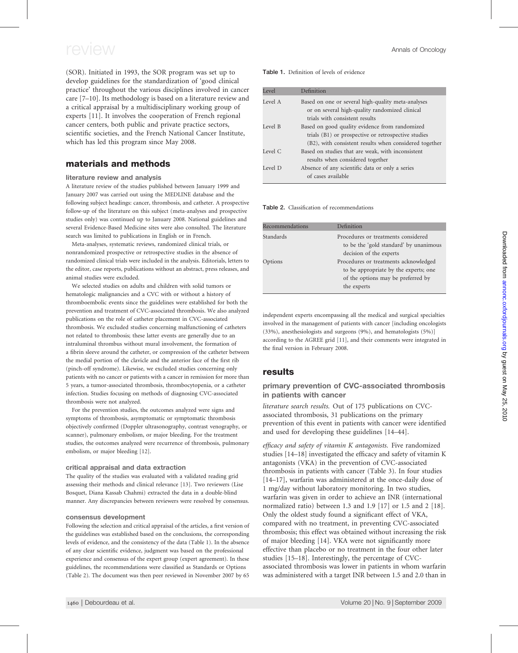# $r$ eview Annals of Oncology Annals of Oncology

(SOR). Initiated in 1993, the SOR program was set up to develop guidelines for the standardization of 'good clinical practice' throughout the various disciplines involved in cancer care [7–10]. Its methodology is based on a literature review and a critical appraisal by a multidisciplinary working group of experts [11]. It involves the cooperation of French regional cancer centers, both public and private practice sectors, scientific societies, and the French National Cancer Institute, which has led this program since May 2008.

# materials and methods

literature review and analysis

A literature review of the studies published between January 1999 and January 2007 was carried out using the MEDLINE database and the following subject headings: cancer, thrombosis, and catheter. A prospective follow-up of the literature on this subject (meta-analyses and prospective studies only) was continued up to January 2008. National guidelines and several Evidence-Based Medicine sites were also consulted. The literature search was limited to publications in English or in French.

Meta-analyses, systematic reviews, randomized clinical trials, or nonrandomized prospective or retrospective studies in the absence of randomized clinical trials were included in the analysis. Editorials, letters to the editor, case reports, publications without an abstract, press releases, and animal studies were excluded.

We selected studies on adults and children with solid tumors or hematologic malignancies and a CVC with or without a history of thromboembolic events since the guidelines were established for both the prevention and treatment of CVC-associated thrombosis. We also analyzed publications on the role of catheter placement in CVC-associated thrombosis. We excluded studies concerning malfunctioning of catheters not related to thrombosis; these latter events are generally due to an intraluminal thrombus without mural involvement, the formation of a fibrin sleeve around the catheter, or compression of the catheter between the medial portion of the clavicle and the anterior face of the first rib (pinch-off syndrome). Likewise, we excluded studies concerning only patients with no cancer or patients with a cancer in remission for more than 5 years, a tumor-associated thrombosis, thrombocytopenia, or a catheter infection. Studies focusing on methods of diagnosing CVC-associated thrombosis were not analyzed.

For the prevention studies, the outcomes analyzed were signs and symptoms of thrombosis, asymptomatic or symptomatic thrombosis objectively confirmed (Doppler ultrasonography, contrast venography, or scanner), pulmonary embolism, or major bleeding. For the treatment studies, the outcomes analyzed were recurrence of thrombosis, pulmonary embolism, or major bleeding [12].

### critical appraisal and data extraction

The quality of the studies was evaluated with a validated reading grid assessing their methods and clinical relevance [13]. Two reviewers (Lise Bosquet, Diana Kassab Chahmi) extracted the data in a double-blind manner. Any discrepancies between reviewers were resolved by consensus.

### consensus development

Following the selection and critical appraisal of the articles, a first version of the guidelines was established based on the conclusions, the corresponding levels of evidence, and the consistency of the data (Table 1). In the absence of any clear scientific evidence, judgment was based on the professional experience and consensus of the expert group (expert agreement). In these guidelines, the recommendations were classified as Standards or Options (Table 2). The document was then peer reviewed in November 2007 by 65

### Table 1. Definition of levels of evidence

| Level   | Definition                                                                                            |
|---------|-------------------------------------------------------------------------------------------------------|
| Level A | Based on one or several high-quality meta-analyses                                                    |
|         | or on several high-quality randomized clinical<br>trials with consistent results                      |
| Level B | Based on good quality evidence from randomized<br>trials (B1) or prospective or retrospective studies |
|         | (B2), with consistent results when considered together                                                |
| Level C | Based on studies that are weak, with inconsistent                                                     |
|         | results when considered together                                                                      |
| Level D | Absence of any scientific data or only a series<br>of cases available                                 |

Table 2. Classification of recommendations

| Recommendations | Definition                                                                                                                          |
|-----------------|-------------------------------------------------------------------------------------------------------------------------------------|
| Standards       | Procedures or treatments considered<br>to be the 'gold standard' by unanimous<br>decision of the experts                            |
| Options         | Procedures or treatments acknowledged<br>to be appropriate by the experts; one<br>of the options may be preferred by<br>the experts |

independent experts encompassing all the medical and surgical specialties involved in the management of patients with cancer [including oncologists (33%), anesthesiologists and surgeons (9%), and hematologists (5%)] according to the AGREE grid [11], and their comments were integrated in the final version in February 2008.

### results

primary prevention of CVC-associated thrombosis in patients with cancer

literature search results. Out of 175 publications on CVCassociated thrombosis, 31 publications on the primary prevention of this event in patients with cancer were identified and used for developing these guidelines [14–44].

efficacy and safety of vitamin K antagonists. Five randomized studies [14–18] investigated the efficacy and safety of vitamin K antagonists (VKA) in the prevention of CVC-associated thrombosis in patients with cancer (Table 3). In four studies [14–17], warfarin was administered at the once-daily dose of 1 mg/day without laboratory monitoring. In two studies, warfarin was given in order to achieve an INR (international normalized ratio) between 1.3 and 1.9 [17] or 1.5 and 2 [18]. Only the oldest study found a significant effect of VKA, compared with no treatment, in preventing CVC-associated thrombosis; this effect was obtained without increasing the risk of major bleeding [14]. VKA were not significantly more effective than placebo or no treatment in the four other later studies [15–18]. Interestingly, the percentage of CVCassociated thrombosis was lower in patients in whom warfarin was administered with a target INR between 1.5 and 2.0 than in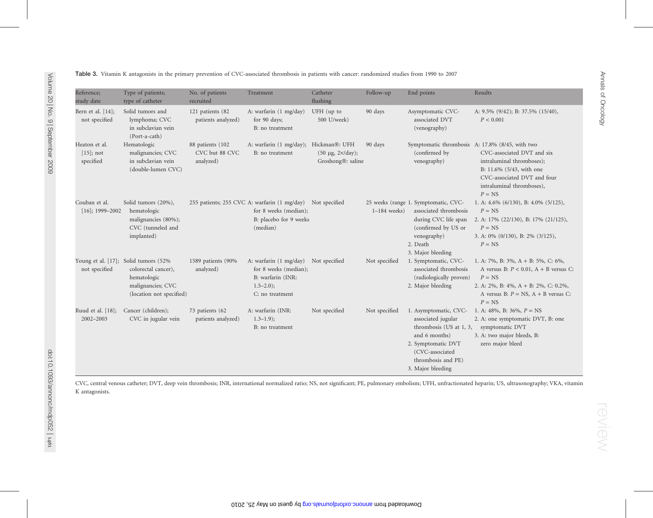| Reference;<br>study date                   | Type of patients;<br>type of catheter                                                                                       | No. of patients<br>recruited                    | Treatment                                                                                                   | Catheter<br>flushing                             | Follow-up      | End points                                                                                                                                                   | Results                                                                                                                                                                                                        |
|--------------------------------------------|-----------------------------------------------------------------------------------------------------------------------------|-------------------------------------------------|-------------------------------------------------------------------------------------------------------------|--------------------------------------------------|----------------|--------------------------------------------------------------------------------------------------------------------------------------------------------------|----------------------------------------------------------------------------------------------------------------------------------------------------------------------------------------------------------------|
| Bern et al. [14];<br>not specified         | Solid tumors and<br>lymphoma; CVC<br>in subclavian vein<br>(Port-a-cath)                                                    | 121 patients (82<br>patients analyzed)          | A: warfarin (1 mg/day)<br>for 90 days;<br>B: no treatment                                                   | UFH (up to<br>500 U/week)                        | 90 days        | Asymptomatic CVC-<br>associated DVT<br>(venography)                                                                                                          | A: 9.5% (9/42); B: 37.5% (15/40),<br>P < 0.001                                                                                                                                                                 |
| Heaton et al.<br>$[15]$ ; not<br>specified | Hematologic<br>malignancies; CVC<br>in subclavian vein<br>(double-lumen CVC)                                                | 88 patients (102<br>CVC but 88 CVC<br>analyzed) | A: warfarin (1 mg/day); Hickman®: UFH<br>B: no treatment                                                    | $(50 \mu g, 2 \times/day);$<br>Groshong®: saline | 90 days        | (confirmed by)<br>venography)                                                                                                                                | Symptomatic thrombosis A: 17.8% (8/45, with two<br>CVC-associated DVT and six<br>intraluminal thromboses);<br>B: 11.6% (5/43, with one<br>CVC-associated DVT and four<br>intraluminal thromboses),<br>$P = NS$ |
| Couban et al.<br>$[16]$ ; 1999-2002        | Solid tumors (20%),<br>hematologic<br>malignancies (80%);<br>CVC (tunneled and<br>implanted)                                |                                                 | 255 patients; 255 CVC A: warfarin (1 mg/day)<br>for 8 weeks (median);<br>B: placebo for 9 weeks<br>(median) | Not specified                                    | $1-184$ weeks) | 25 weeks (range 1. Symptomatic, CVC-<br>associated thrombosis<br>during CVC life span<br>(confirmed by US or<br>venography)<br>2. Death<br>3. Major bleeding | 1. A: $4.6\%$ (6/130), B: $4.0\%$ (5/125),<br>$P = NS$<br>2. A: 17% (22/130), B: 17% (21/125),<br>$P = NS$<br>3. A: 0% (0/130), B: 2% (3/125),<br>$P = NS$                                                     |
| not specified                              | Young et al. [17]; Solid tumors (52%<br>colorectal cancer),<br>hematologic<br>malignancies; CVC<br>(location not specified) | 1589 patients (90%<br>analyzed)                 | A: warfarin (1 mg/day)<br>for 8 weeks (median);<br>B: warfarin (INR:<br>$1.5 - 2.0);$<br>C: no treatment    | Not specified                                    | Not specified  | 1. Symptomatic, CVC-<br>associated thrombosis<br>(radiologically proven)<br>2. Major bleeding                                                                | 1. A: 7%, B: 3%, A + B: 5%, C: 6%,<br>A versus B: $P < 0.01$ , A + B versus C<br>$P = NS$<br>2. A: $2\%$ , B: $4\%$ , A + B: $2\%$ , C: 0.2\%,<br>A versus B: $P = NS$ , $A + B$ versus C:<br>$P = NS$         |
| Ruud et al. [18];<br>2002-2003             | Cancer (children);<br>CVC in jugular vein                                                                                   | 73 patients (62)<br>patients analyzed)          | A: warfarin (INR:<br>$1.3 - 1.9$ ;<br>B: no treatment                                                       | Not specified                                    | Not specified  | 1. Asymptomatic, CVC-<br>associated jugular<br>thrombosis (US at 1, 3,<br>and 6 months)<br>2. Symptomatic DVT<br>(CVC-associated<br>thrombosis and PE)       | 1. A: 48%, B: 36%, $P = NS$<br>2. A: one symptomatic DVT, B: one<br>symptomatic DVT<br>3. A: two major bleeds, B:<br>zero major bleed                                                                          |

Table 3. Vitamin <sup>K</sup> antagonists in the primary prevention of CVC-associated thrombosis in patients with cancer: randomized studies from <sup>1990</sup> to <sup>2007</sup>

CVC, central venous catheter; DVT, deep vein thrombosis; INR, international normalized ratio; NS, not significant; PE, pulmonary embolism; UFH, unfractionated heparin; US, ultrasonography; VKA, vitamin K antagonists.

3. Major bleeding

review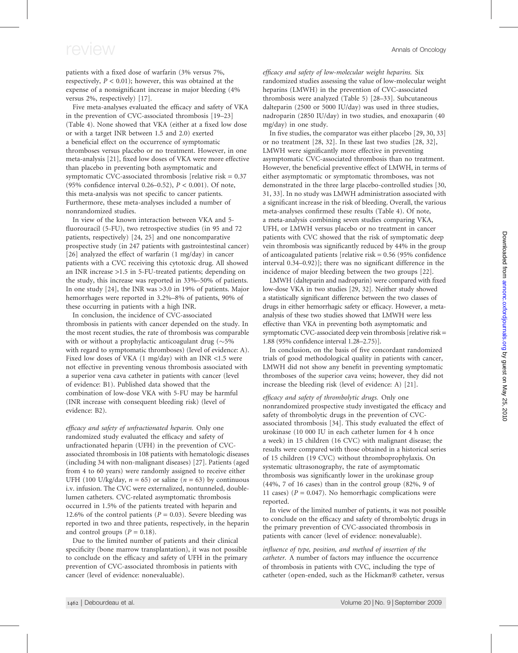# $r$ eview Annals of Oncology Annals of Oncology

patients with a fixed dose of warfarin (3% versus 7%, respectively,  $P < 0.01$ ); however, this was obtained at the expense of a nonsignificant increase in major bleeding (4% versus 2%, respectively) [17].

Five meta-analyses evaluated the efficacy and safety of VKA in the prevention of CVC-associated thrombosis [19–23] (Table 4). None showed that VKA (either at a fixed low dose or with a target INR between 1.5 and 2.0) exerted a beneficial effect on the occurrence of symptomatic thromboses versus placebo or no treatment. However, in one meta-analysis [21], fixed low doses of VKA were more effective than placebo in preventing both asymptomatic and symptomatic CVC-associated thrombosis [relative risk = 0.37 (95% confidence interval 0.26–0.52),  $P < 0.001$ ). Of note, this meta-analysis was not specific to cancer patients. Furthermore, these meta-analyses included a number of nonrandomized studies.

In view of the known interaction between VKA and 5 fluorouracil (5-FU), two retrospective studies (in 95 and 72 patients, respectively) [24, 25] and one noncomparative prospective study (in 247 patients with gastrointestinal cancer) [26] analyzed the effect of warfarin (1 mg/day) in cancer patients with a CVC receiving this cytotoxic drug. All showed an INR increase >1.5 in 5-FU-treated patients; depending on the study, this increase was reported in 33%–50% of patients. In one study [24], the INR was >3.0 in 19% of patients. Major hemorrhages were reported in 3.2%–8% of patients, 90% of these occurring in patients with a high INR.

In conclusion, the incidence of CVC-associated thrombosis in patients with cancer depended on the study. In the most recent studies, the rate of thrombosis was comparable with or without a prophylactic anticoagulant drug  $(\sim 5\%$ with regard to symptomatic thromboses) (level of evidence: A). Fixed low doses of VKA (1 mg/day) with an INR <1.5 were not effective in preventing venous thrombosis associated with a superior vena cava catheter in patients with cancer (level of evidence: B1). Published data showed that the combination of low-dose VKA with 5-FU may be harmful (INR increase with consequent bleeding risk) (level of evidence: B2).

efficacy and safety of unfractionated heparin. Only one randomized study evaluated the efficacy and safety of unfractionated heparin (UFH) in the prevention of CVCassociated thrombosis in 108 patients with hematologic diseases (including 34 with non-malignant diseases) [27]. Patients (aged from 4 to 60 years) were randomly assigned to receive either UFH (100 U/kg/day,  $n = 65$ ) or saline ( $n = 63$ ) by continuous i.v. infusion. The CVC were externalized, nontunneled, doublelumen catheters. CVC-related asymptomatic thrombosis occurred in 1.5% of the patients treated with heparin and 12.6% of the control patients ( $P = 0.03$ ). Severe bleeding was reported in two and three patients, respectively, in the heparin and control groups ( $P = 0.18$ ).

Due to the limited number of patients and their clinical specificity (bone marrow transplantation), it was not possible to conclude on the efficacy and safety of UFH in the primary prevention of CVC-associated thrombosis in patients with cancer (level of evidence: nonevaluable).

efficacy and safety of low-molecular weight heparins. Six randomized studies assessing the value of low-molecular weight heparins (LMWH) in the prevention of CVC-associated thrombosis were analyzed (Table 5) [28–33]. Subcutaneous dalteparin (2500 or 5000 IU/day) was used in three studies, nadroparin (2850 IU/day) in two studies, and enoxaparin (40 mg/day) in one study.

In five studies, the comparator was either placebo [29, 30, 33] or no treatment [28, 32]. In these last two studies [28, 32], LMWH were significantly more effective in preventing asymptomatic CVC-associated thrombosis than no treatment. However, the beneficial preventive effect of LMWH, in terms of either asymptomatic or symptomatic thromboses, was not demonstrated in the three large placebo-controlled studies [30, 31, 33]. In no study was LMWH administration associated with a significant increase in the risk of bleeding. Overall, the various meta-analyses confirmed these results (Table 4). Of note, a meta-analysis combining seven studies comparing VKA, UFH, or LMWH versus placebo or no treatment in cancer patients with CVC showed that the risk of symptomatic deep vein thrombosis was significantly reduced by 44% in the group of anticoagulated patients [relative risk = 0.56 (95% confidence interval 0.34–0.92)]; there was no significant difference in the incidence of major bleeding between the two groups [22].

LMWH (dalteparin and nadroparin) were compared with fixed low-dose VKA in two studies [29, 32]. Neither study showed a statistically significant difference between the two classes of drugs in either hemorrhagic safety or efficacy. However, a metaanalysis of these two studies showed that LMWH were less effective than VKA in preventing both asymptomatic and symptomatic CVC-associated deep vein thrombosis [relative risk = 1.88 (95% confidence interval 1.28–2.75)].

In conclusion, on the basis of five concordant randomized trials of good methodological quality in patients with cancer, LMWH did not show any benefit in preventing symptomatic thromboses of the superior cava veins; however, they did not increase the bleeding risk (level of evidence: A) [21].

efficacy and safety of thrombolytic drugs. Only one nonrandomized prospective study investigated the efficacy and safety of thrombolytic drugs in the prevention of CVCassociated thrombosis [34]. This study evaluated the effect of urokinase (10 000 IU in each catheter lumen for 4 h once a week) in 15 children (16 CVC) with malignant disease; the results were compared with those obtained in a historical series of 15 children (19 CVC) without thromboprophylaxis. On systematic ultrasonography, the rate of asymptomatic thrombosis was significantly lower in the urokinase group (44%, 7 of 16 cases) than in the control group (82%, 9 of 11 cases) ( $P = 0.047$ ). No hemorrhagic complications were reported.

In view of the limited number of patients, it was not possible to conclude on the efficacy and safety of thrombolytic drugs in the primary prevention of CVC-associated thrombosis in patients with cancer (level of evidence: nonevaluable).

influence of type, position, and method of insertion of the catheter. A number of factors may influence the occurrence of thrombosis in patients with CVC, including the type of catheter (open-ended, such as the Hickman® catheter, versus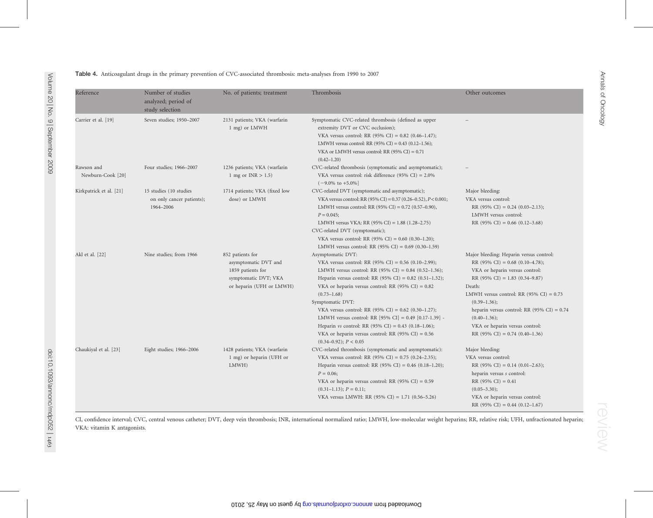| ۰<br>Ξ<br>ł |  |
|-------------|--|
|             |  |
| ı           |  |

review

Table 4. Anticoagulant drugs in the primary prevention of CVC-associated thrombosis: meta-analyses from <sup>1990</sup> to <sup>2007</sup>

| Reference                       | Number of studies<br>analyzed; period of<br>study selection      | No. of patients; treatment                                                                                        | Thrombosis                                                                                                                                                                                                                                                                                                                                                                                                                                                                                                                                                                                                       | Other outcomes                                                                                                                                                                                                                                                                                                                                                                                    |
|---------------------------------|------------------------------------------------------------------|-------------------------------------------------------------------------------------------------------------------|------------------------------------------------------------------------------------------------------------------------------------------------------------------------------------------------------------------------------------------------------------------------------------------------------------------------------------------------------------------------------------------------------------------------------------------------------------------------------------------------------------------------------------------------------------------------------------------------------------------|---------------------------------------------------------------------------------------------------------------------------------------------------------------------------------------------------------------------------------------------------------------------------------------------------------------------------------------------------------------------------------------------------|
| Carrier et al. [19]             | Seven studies; 1950-2007                                         | 2131 patients; VKA (warfarin<br>1 mg) or LMWH                                                                     | Symptomatic CVC-related thrombosis (defined as upper<br>extremity DVT or CVC occlusion);<br>VKA versus control: RR (95% CI) = 0.82 (0.46-1.47);<br>LMWH versus control: RR $(95\% \text{ CI}) = 0.43 (0.12 - 1.56);$<br>VKA or LMWH versus control: RR $(95\% \text{ CI}) = 0.71$<br>$(0.42 - 1.20)$                                                                                                                                                                                                                                                                                                             |                                                                                                                                                                                                                                                                                                                                                                                                   |
| Rawson and<br>Newburn-Cook [20] | Four studies; 1966-2007                                          | 1236 patients; VKA (warfarin<br>1 mg or $INR > 1.5$                                                               | CVC-related thrombosis (symptomatic and asymptomatic);<br>VKA versus control: risk difference $(95\% \text{ CI}) = 2.0\%$<br>$(-9.0\% \text{ to } +5.0\%)$                                                                                                                                                                                                                                                                                                                                                                                                                                                       |                                                                                                                                                                                                                                                                                                                                                                                                   |
| Kirkpatrick et al. [21]         | 15 studies (10 studies<br>on only cancer patients);<br>1964-2006 | 1714 patients; VKA (fixed low<br>dose) or LMWH                                                                    | CVC-related DVT (symptomatic and asymptomatic);<br>VKA versus control: RR (95% CI) = 0.37 (0.26–0.52), P < 0.001;<br>LMWH versus control: RR (95% CI) = 0.72 (0.57-0.90),<br>$P = 0.045;$<br>LMWH versus VKA: RR $(95\% \text{ CI}) = 1.88 (1.28 - 2.75)$<br>CVC-related DVT (symptomatic);<br>VKA versus control: RR $(95\% \text{ CI}) = 0.60 (0.30-1.20);$<br>LMWH versus control: RR $(95\% \text{ CI}) = 0.69 (0.30-1.59)$                                                                                                                                                                                  | Major bleeding:<br>VKA versus control:<br>RR $(95\% \text{ CI}) = 0.24 (0.03-2.13);$<br>LMWH versus control:<br>RR $(95\% \text{ CI}) = 0.66 (0.12 - 3.68)$                                                                                                                                                                                                                                       |
| Akl et al. [22]                 | Nine studies; from 1966                                          | 852 patients for<br>asymptomatic DVT and<br>1859 patients for<br>symptomatic DVT; VKA<br>or heparin (UFH or LMWH) | Asymptomatic DVT:<br>VKA versus control: RR $(95\% \text{ CI}) = 0.56 (0.10-2.99);$<br>LMWH versus control: RR (95% CI) = $0.84$ (0.52–1.36);<br>Heparin versus control: RR $(95\% \text{ CI}) = 0.82 (0.51 - 1.32);$<br>VKA or heparin versus control: RR $(95\% \text{ CI}) = 0.82$<br>$(0.73 - 1.68)$<br>Symptomatic DVT:<br>VKA versus control: RR $(95\% \text{ CI}) = 0.62 (0.30-1.27);$<br>LMWH versus control: RR [95% CI] = 0.49 [0.17-1.39] -<br>Heparin <i>vs</i> control: RR (95% CI) = 0.43 (0.18–1.06);<br>VKA or heparin versus control: RR $(95\% \text{ CI}) = 0.56$<br>$(0.34-0.92); P < 0.05$ | Major bleeding: Heparin versus control:<br>RR (95% CI) = $0.68$ (0.10–4.78);<br>VKA or heparin versus control:<br>RR $(95\% \text{ CI}) = 1.83 (0.34-9.87)$<br>Death:<br>LMWH versus control: RR $(95\% \text{ CI}) = 0.73$<br>$(0.39-1.36);$<br>heparin versus control: RR $(95\% \text{ CI}) = 0.74$<br>$(0.40 - 1.36);$<br>VKA or heparin versus control:<br>$RR (95\% CI) = 0.74 (0.40-1.36)$ |
| Chaukiyal et al. [23]           | Eight studies; $1966 - 2006$                                     | 1428 patients; VKA (warfarin<br>1 mg) or heparin (UFH or<br>LMWH)                                                 | CVC-related thrombosis (symptomatic and asymptomatic):<br>VKA versus control: RR $(95\% \text{ CI}) = 0.75 (0.24-2.35);$<br>Heparin versus control: RR $(95\% \text{ CI}) = 0.46 (0.18-1.20);$<br>$P = 0.06;$<br>VKA or heparin versus control: RR $(95\% \text{ CI}) = 0.59$<br>$(0.31-1.13); P = 0.11;$<br>VKA versus LMWH: RR (95% CI) = 1.71 (0.56–5.26)                                                                                                                                                                                                                                                     | Major bleeding:<br>VKA versus control:<br>RR $(95\% \text{ CI}) = 0.14 (0.01-2.63);$<br>heparin versus s control:<br>$RR(95\% CI) = 0.41$<br>$(0.05 - 3.30);$<br>VKA or heparin versus control:<br>$RR(95\% CI) = 0.44(0.12 - 1.67)$                                                                                                                                                              |

CI, confidence interval; CVC, central venous catheter; DVT, deep vein thrombosis; INR, international normalized ratio; LMWH, low-molecular weight heparins; RR, relative risk; UFH, unfractionated heparin; VKA: vitamin K antagonists.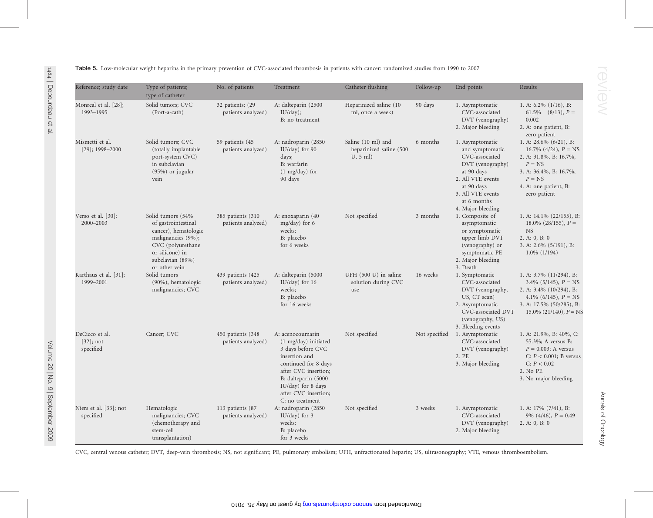Table 5. Low-molecular weight heparins in the primary prevention of CVC-associated thrombosis in patients with cancer: randomized studies from <sup>1990</sup> to <sup>2007</sup>

1464 |

Debourdeau et al.

Volume 20 | No. 9 |

September 2009

| Reference; study date                       | Type of patients;<br>type of catheter                                                                                                                               | No. of patients                          | Treatment                                                                                                                                                                                                                           | Catheter flushing                                           | Follow-up     | End points                                                                                                                                                                         | Results                                                                                                                                                                                     |
|---------------------------------------------|---------------------------------------------------------------------------------------------------------------------------------------------------------------------|------------------------------------------|-------------------------------------------------------------------------------------------------------------------------------------------------------------------------------------------------------------------------------------|-------------------------------------------------------------|---------------|------------------------------------------------------------------------------------------------------------------------------------------------------------------------------------|---------------------------------------------------------------------------------------------------------------------------------------------------------------------------------------------|
| Monreal et al. [28];<br>1993-1995           | Solid tumors; CVC<br>(Port-a-cath)                                                                                                                                  | 32 patients; (29<br>patients analyzed)   | A: dalteparin (2500<br>IU/day);<br>B: no treatment                                                                                                                                                                                  | Heparinized saline (10)<br>ml, once a week)                 | 90 days       | 1. Asymptomatic<br>CVC-associated<br>DVT (venography)<br>2. Major bleeding                                                                                                         | 1. A: $6.2\%$ ( $1/16$ ), B:<br>61.5%<br>$(8/13), P =$<br>0.002<br>2. A: one patient, B:                                                                                                    |
| Mismetti et al.<br>$[29]$ ; 1998-2000       | Solid tumors; CVC<br>(totally implantable)<br>port-system CVC)<br>in subclavian<br>$(95%)$ or jugular<br>vein                                                       | 59 patients (45<br>patients analyzed)    | A: nadroparin (2850)<br>$IU/day)$ for 90<br>days;<br>B: warfarin<br>$(1 \text{ mg/day})$ for<br>90 days                                                                                                                             | Saline (10 ml) and<br>heparinized saline (500<br>$U, 5$ ml) | 6 months      | 1. Asymptomatic<br>and symptomatic<br>CVC-associated<br>DVT (venography)<br>at 90 days<br>2. All VTE events<br>at 90 days<br>3. All VTE events<br>at 6 months<br>4. Major bleeding | zero patient<br>1. A: $28.6\%$ (6/21), B:<br>16.7% $(4/24)$ , $P = NS$<br>2. A: 31.8%, B: 16.7%,<br>$P = NS$<br>3. A: 36.4%, B: 16.7%,<br>$P = NS$<br>4. A: one patient, B:<br>zero patient |
| Verso et al. [30];<br>2000-2003             | Solid tumors (54%<br>of gastrointestinal<br>cancer), hematologic<br>malignancies (9%);<br>CVC (polyurethane<br>or silicone) in<br>subclavian (89%)<br>or other vein | 385 patients (310<br>patients analyzed)  | A: enoxaparin (40<br>$mg/day)$ for 6<br>weeks;<br>B: placebo<br>for 6 weeks                                                                                                                                                         | Not specified                                               | 3 months      | 1. Composite of<br>asymptomatic<br>or symptomatic<br>upper limb DVT<br>(venography) or<br>symptomatic PE<br>2. Major bleeding<br>3. Death                                          | 1. A: $14.1\%$ (22/155), B:<br>$18.0\%$ (28/155), $P=$<br><b>NS</b><br>2. A: $0, B: 0$<br>3. A: $2.6\%$ (5/191), B:<br>$1.0\%$ (1/194)                                                      |
| Karthaus et al. [31];<br>1999-2001          | Solid tumors<br>(90%), hematologic<br>malignancies; CVC                                                                                                             | 439 patients (425<br>patients analyzed)  | A: dalteparin (5000<br>$IU/day)$ for 16<br>weeks;<br>B: placebo<br>for 16 weeks                                                                                                                                                     | UFH (500 U) in saline<br>solution during CVC<br>use         | 16 weeks      | 1. Symptomatic<br>CVC-associated<br>DVT (venography,<br>US, CT scan)<br>2. Asymptomatic<br>CVC-associated DVT<br>(venography, US)<br>3. Bleeding events                            | 1. A: $3.7\%$ (11/294), B:<br>3.4% (5/145), $P = NS$<br>2. A: $3.4\%$ (10/294), B:<br>4.1% (6/145), $P = NS$<br>3. A: 17.5% (50/285), B:<br>15.0% $(21/140)$ , $P = NS$                     |
| DeCicco et al.<br>$[32]$ ; not<br>specified | Cancer; CVC                                                                                                                                                         | 450 patients (348)<br>patients analyzed) | A: acenocoumarin<br>$(1 \text{ mg/day})$ initiated<br>3 days before CVC<br>insertion and<br>continued for 8 days<br>after CVC insertion;<br>B: dalteparin (5000)<br>$IU/day)$ for 8 days<br>after CVC insertion;<br>C: no treatment | Not specified                                               | Not specified | 1. Asymptomatic<br>CVC-associated<br>DVT (venography)<br>2. PE<br>3. Major bleeding                                                                                                | 1. A: 21.9%, B: 40%, C:<br>55.3%; A versus B:<br>$P = 0.003$ ; A versus<br>C: $P < 0.001$ ; B versus<br>C: $P < 0.02$<br>2. No PE<br>3. No major bleeding                                   |
| Niers et al. [33]; not<br>specified         | Hematologic<br>malignancies; CVC<br>(chemotherapy and<br>stem-cell<br>transplantation)                                                                              | 113 patients (87<br>patients analyzed)   | A: nadroparin (2850<br>IU/day) for 3<br>weeks;<br>B: placebo<br>for 3 weeks                                                                                                                                                         | Not specified                                               | 3 weeks       | 1. Asymptomatic<br>CVC-associated<br>DVT (venography)<br>2. Major bleeding                                                                                                         | 1. A: $17\%$ (7/41), B:<br>9% (4/46), $P = 0.49$<br>2. A: $0, B: 0$                                                                                                                         |

CVC, central venous catheter; DVT, deep-vein thrombosis; NS, not significant; PE, pulmonary embolism; UFH, unfractionated heparin; US, ultrasonography; VTE, venous thromboembolism.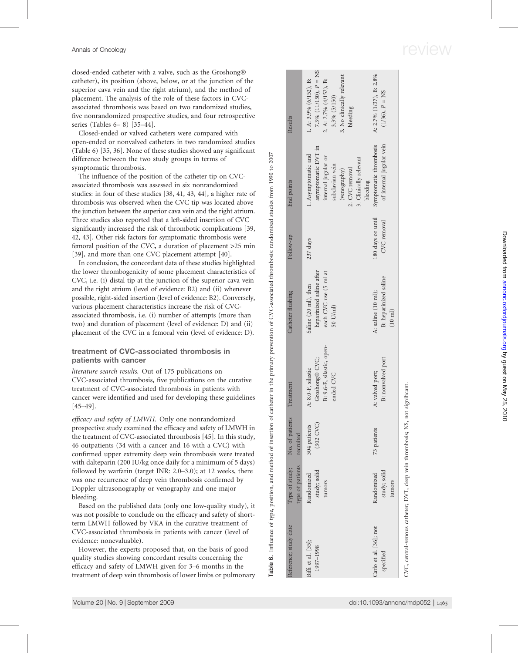closed-ended catheter with a valve, such as the Groshong catheter), its position (above, below, or at the junction of the superior cava vein and the right atrium), and the method of placement. The analysis of the role of these factors in CVCassociated thrombosis was based on two randomized studies, five nonrandomized prospective studies, and four retrospective series (Tables 6– 8) [35–44].

Closed-ended or valved catheters were compared with open-ended or nonvalved catheters in two randomized studies (Table 6) [35, 36]. None of these studies showed any significant difference between the two study groups in terms of symptomatic thrombosis.

The influence of the position of the catheter tip on CVCassociated thrombosis was assessed in six nonrandomized studies: in four of these studies [38, 41, 43, 44], a higher rate of thrombosis was observed when the CVC tip was located above the junction between the superior cava vein and the right atrium. Three studies also reported that a left-sided insertion of CVC significantly increased the risk of thrombotic complications [39, 42, 43]. Other risk factors for symptomatic thrombosis were femoral position of the CVC, a duration of placement >25 min [39], and more than one CVC placement attempt [40].

In conclusion, the concordant data of these studies highlighted the lower thrombogenicity of some placement characteristics of CVC, i.e. (i) distal tip at the junction of the superior cava vein and the right atrium (level of evidence: B2) and (ii) whenever possible, right-sided insertion (level of evidence: B2). Conversely, various placement characteristics increase the risk of CVCassociated thrombosis, i.e. (i) number of attempts (more than two) and duration of placement (level of evidence: D) and (ii) placement of the CVC in a femoral vein (level of evidence: D).

# treatment of CVC-associated thrombosis in patients with cancer

literature search results. Out of 175 publications on CVC-associated thrombosis, five publications on the curative treatment of CVC-associated thrombosis in patients with cancer were identified and used for developing these guidelines [45–49].

efficacy and safety of LMWH. Only one nonrandomized prospective study examined the efficacy and safety of LMWH in the treatment of CVC-associated thrombosis [45]. In this study, 46 outpatients (34 with a cancer and 16 with a CVC) with confirmed upper extremity deep vein thrombosis were treated with dalteparin (200 IU/kg once daily for a minimum of 5 days) followed by warfarin (target INR: 2.0–3.0); at 12 weeks, there was one recurrence of deep vein thrombosis confirmed by Doppler ultrasonography or venography and one major bleeding.

Based on the published data (only one low-quality study), it was not possible to conclude on the efficacy and safety of shortterm LMWH followed by VKA in the curative treatment of CVC-associated thrombosis in patients with cancer (level of evidence: nonevaluable).

However, the experts proposed that, on the basis of good quality studies showing concordant results concerning the efficacy and safety of LMWH given for 3–6 months in the treatment of deep vein thrombosis of lower limbs or pulmonary

7.3% (11/150),  $P = NS$ 7.3% (11/150),  $P =$  NS 2. A: 2.7% (4/152), B: 1. A: 3.9% (6/152), B: 1. A: 3.9% (6/152), B: 2. A: 2.7% (4/152), B: 3.3% (5/150) 3.3% (5/150) Results Treatment Catheter flushing Follow-up End points Results  $\Xi$ . asymptomatic DVT in asymptomatic DVT 1. Asymptomatic and 237 days 1. Asymptomatic and internal jugular or internal jugular or subclavian vein subclavian vein End points Follow-up 237 days heparinized saline after heparinized saline after each CVC use (5 ml at each CVC use (5 ml at Saline (20 ml), then Saline (20 ml), then Catheter flushing 50 U/ml) B: 9.6-F, silastic, open-B: 9.6-F, silastic, open-Groshong® CVC; Groshong® CVC; A: 8.0-F, silastic A: 8.0-F, silastic ended CVC ended CVC Treatment No. of patients No. of patients (302 CVC) 304 patients 304 patients recruited type of patients type of patients Type of study; Reference; study date Type of study; study; solid Randomized Randomized tumors Reference; study date Biffi et al. [35]; Biffi et al. [35]; 1997-1998 1997–1998

(venography) 2. CVC removal 3. Clinically relevant bleeding

2. CVC removal  $(\mbox{vengraph}\gamma)$ 

3. Clinically relevant

3. No clinically relevant bleeding

3. No clinically relevant

Table 6. Influence of type, position, and method of insertion of catheter in the primary prevention of CVC-associated thrombosis: randomized studies from 1990 to 2007

Table 6. Influence of type, position, and method of insertion of catheter in the primary

prevention of CVC-associated thrombosis: randomized studies from 1990 to 2007

Annals of Oncology  $\mathsf{review}$ 

# | September 2009 doi:10.1093/annonc/mdp052 | 1465

CVC, central-venous catheter; DVT, deep vein thrombosis; NS, not significant.

CVC, central-venous catheter; DVT, deep vein thrombosis; NS, not significant

Carlo et al. [36]; not specified

Carlo et al. [36]; not

Randomized study; solid tumors

Randomized

73 patients A: valved port;

patients  $73<sub>1</sub>$ 

A: valved port;

A: saline (10 ml); B: heparinized saline

A: saline (10 ml);

B: heparinized saline

180 days or until CVC removal

180 days or until CVC removal

Symptomatic thrombosis of internal jugular vein

Symptomatic thrombosis of internal jugular vein

A: 2.7% (1/37), B: 2.8%  $(1/36), P = NS$ 

 $(1/36), P = NS$ 

A: 2.7% (1/37), B: 2.8%

(10 ml)

B: nonvalved port

B: nonvalved port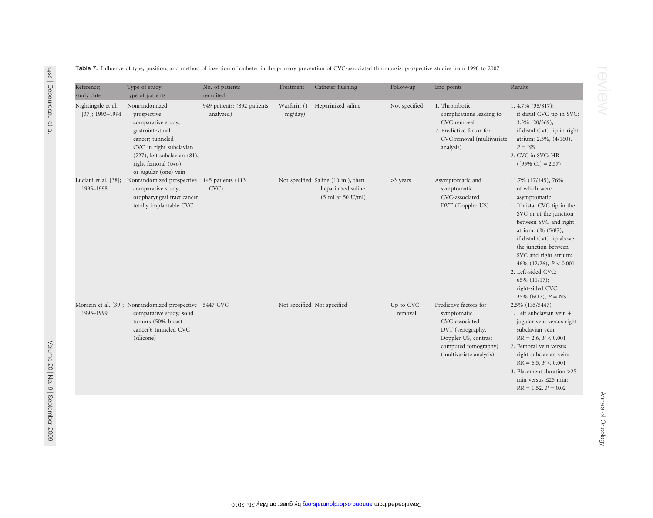Volume 20 | No. 9 | September 2009

1466 | Debourdeau et al.

Reference; study date

Type of study; type of patients

| Nightingale et al.<br>$[37]; 1993 - 1994$ | Nonrandomized<br>prospective<br>comparative study;<br>gastrointestinal<br>cancer; tunneled<br>CVC in right subclavian<br>(727), left subclavian (81),<br>right femoral (two)<br>or jugular (one) vein | 949 patients; (832 patients<br>analyzed) | mg/day)                     | Warfarin (1 Heparinized saline                                                                   | Not specified        | 1. Thrombotic<br>complications leading to<br>CVC removal<br>2. Predictive factor for<br>CVC removal (multivariate<br>analysis)                         | 1. $4.7\%$ (38/817);<br>if distal CVC tip in SVC:<br>$3.5\%$ (20/569);<br>if distal CVC tip in right<br>atrium: 2.5%, (4/160),<br>$P = NS$<br>2. CVC in SVC: HR<br>$([95\% \text{ CI}] = 2.57)$                                                                                                                                                            |
|-------------------------------------------|-------------------------------------------------------------------------------------------------------------------------------------------------------------------------------------------------------|------------------------------------------|-----------------------------|--------------------------------------------------------------------------------------------------|----------------------|--------------------------------------------------------------------------------------------------------------------------------------------------------|------------------------------------------------------------------------------------------------------------------------------------------------------------------------------------------------------------------------------------------------------------------------------------------------------------------------------------------------------------|
| Luciani et al. [38];<br>1995-1998         | Nonrandomized prospective<br>comparative study;<br>oropharyngeal tract cancer;<br>totally implantable CVC                                                                                             | 145 patients (113<br>CVC)                |                             | Not specified Saline (10 ml), then<br>heparinized saline<br>$(5 \text{ ml at } 50 \text{ U/ml})$ | >3 years             | Asymptomatic and<br>symptomatic<br>CVC-associated<br>DVT (Doppler US)                                                                                  | 11.7% (17/145), 76%<br>of which were<br>asymptomatic<br>1. If distal CVC tip in the<br>SVC or at the junction<br>between SVC and right<br>atrium: 6% (5/87);<br>if distal CVC tip above<br>the junction between<br>SVC and right atrium:<br>46\% $(12/26)$ , $P < 0.001$<br>2. Left-sided CVC:<br>65% (11/17);<br>right-sided CVC:<br>35% (6/17), $P = NS$ |
| 1995-1999                                 | Morazin et al. [39]; Nonrandomized prospective 5447 CVC<br>comparative study; solid<br>tumors (50% breast<br>cancer); tunneled CVC<br>(silicone)                                                      |                                          | Not specified Not specified |                                                                                                  | Up to CVC<br>removal | Predictive factors for<br>symptomatic<br>CVC-associated<br>DVT (venography,<br>Doppler US, contrast<br>computed tomography)<br>(multivariate analysis) | 2.5% (135/5447)<br>1. Left subclavian vein +<br>jugular vein versus right<br>subclavian vein:<br>$RR = 2.6, P < 0.001$<br>2. Femoral vein versus<br>right subclavian vein:<br>$RR = 6.5, P < 0.001$<br>3. Placement duration >25<br>min versus $\leq$ 25 min:<br>$RR = 1.52, P = 0.02$                                                                     |

Treatment Catheter flushing Follow-up End points Results

Table 7. Influence of type, position, and method of insertion of catheter in the primary prevention of CVC-associated thrombosis: prospective studies from <sup>1990</sup> to <sup>2007</sup>

No. of patients recruited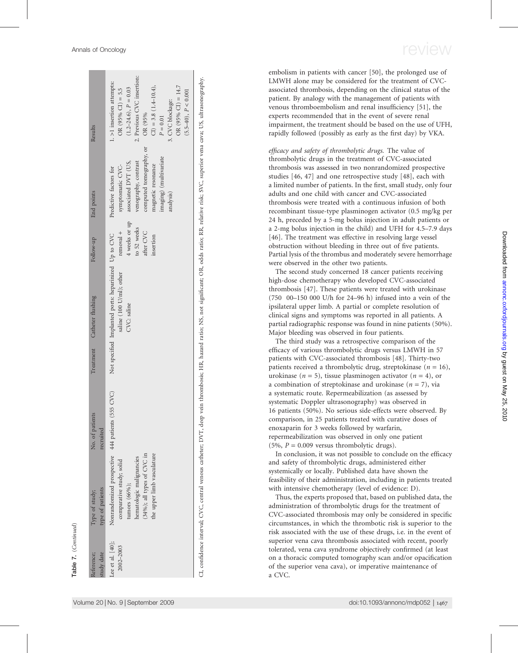| tudy date<br>Aeference;          | type of patients<br>Type of study;                                                                                                                                                   | No. of patients<br>recruited | Treatment Catheter flushing                                                                     | Follow-up                                                             | End points                                                                                                                                                                       | Results                                                                                                                                                                                                                          |
|----------------------------------|--------------------------------------------------------------------------------------------------------------------------------------------------------------------------------------|------------------------------|-------------------------------------------------------------------------------------------------|-----------------------------------------------------------------------|----------------------------------------------------------------------------------------------------------------------------------------------------------------------------------|----------------------------------------------------------------------------------------------------------------------------------------------------------------------------------------------------------------------------------|
| Lee et al. $[40]$ ;<br>2002-2003 | Nonrandomized prospective 444 patients (555<br>the upper limb vasculature<br>(34%); all types of CVC in<br>hematologic malignancies<br>comparative study; solid<br>tumors $(66\%)$ ; | CVC)                         | Not specified Implanted ports: heparinized Up to CVC<br>saline (100 U/ml); other<br>CVC: saline | 4 weeks or up<br>to 52 weeks<br>$removal +$<br>after CVC<br>insertion | computed tomography, or<br>maging) (multivariate<br>venography, contrast<br>associated DVT (US,<br>magnetic resonance<br>symptomatic CVC-<br>Predictive factors for<br>analysis) | 2. Previous CVC insertion:<br>1. >1 insertion attempts:<br>OR (95% CI) = 14.7<br>$CI$ ) = 3.8 (1.4–10.4),<br>$(1.2 - 24.6), P = 0.03$<br>OR (95% CI) = 5.5<br>$(5.5-40), P < 0.001$<br>3. CVC blockage:<br>OR (95%<br>$P = 0.01$ |

CI, confidence interval; CVC, central venous catheter; DVT, deep vein thrombosis; HR, hazard ratio; NS, not significant; OR, odds ratio; RR, relative risk; SVC, superior vena cava; US, ultrasonography. confidence interval; CVC, central venous catheter; DVT, deep vein thrombosis; HR, hazard ratio; NS, not significant; OR, odds ratio; RR, relative risk; SVC, superior vena cava; US, ultrasonography J,

# Annals of Oncology  $\mathsf{review}$

embolism in patients with cancer [50], the prolonged use of LMWH alone may be considered for the treatment of CVCassociated thrombosis, depending on the clinical status of the patient. By analogy with the management of patients with venous thromboembolism and renal insufficiency [51], the experts recommended that in the event of severe renal impairment, the treatment should be based on the use of UFH, rapidly followed (possibly as early as the first day) by VKA.

efficacy and safety of thrombolytic drugs. The value of thrombolytic drugs in the treatment of CVC-associated thrombosis was assessed in two nonrandomized prospective studies [46, 47] and one retrospective study [48], each with a limited number of patients. In the first, small study, only four adults and one child with cancer and CVC-associated thrombosis were treated with a continuous infusion of both recombinant tissue-type plasminogen activator (0.5 mg/kg per 24 h, preceded by a 5-mg bolus injection in adult patients or a 2-mg bolus injection in the child) and UFH for 4.5–7.9 days [46]. The treatment was effective in resolving large vessel obstruction without bleeding in three out of five patients. Partial lysis of the thrombus and moderately severe hemorrhage were observed in the other two patients.

The second study concerned 18 cancer patients receiving high-dose chemotherapy who developed CVC-associated thrombosis [47]. These patients were treated with urokinase (750 00–150 000 U/h for 24–96 h) infused into a vein of the ipsilateral upper limb. A partial or complete resolution of clinical signs and symptoms was reported in all patients. A partial radiographic response was found in nine patients (50%). Major bleeding was observed in four patients.

The third study was a retrospective comparison of the efficacy of various thrombolytic drugs versus LMWH in 57 patients with CVC-associated thrombosis [48]. Thirty-two patients received a thrombolytic drug, streptokinase  $(n = 16)$ , urokinase ( $n = 5$ ), tissue plasminogen activator ( $n = 4$ ), or a combination of streptokinase and urokinase  $(n = 7)$ , via a systematic route. Repermeabilization (as assessed by systematic Doppler ultrasonography) was observed in 16 patients (50%). No serious side-effects were observed. By comparison, in 25 patients treated with curative doses of enoxaparin for 3 weeks followed by warfarin, repermeabilization was observed in only one patient  $(5\%, P = 0.009$  versus thrombolytic drugs).

In conclusion, it was not possible to conclude on the efficacy and safety of thrombolytic drugs, administered either systemically or locally. Published data have shown the feasibility of their administration, including in patients treated with intensive chemotherapy (level of evidence: D).

Thus, the experts proposed that, based on published data, the administration of thrombolytic drugs for the treatment of CVC-associated thrombosis may only be considered in specific circumstances, in which the thrombotic risk is superior to the risk associated with the use of these drugs, i.e. in the event of superior vena cava thrombosis associated with recent, poorly tolerated, vena cava syndrome objectively confirmed (at least on a thoracic computed tomography scan and/or opacification of the superior vena cava), or imperative maintenance of a CVC.

Table 7. (Continued)

(Continued)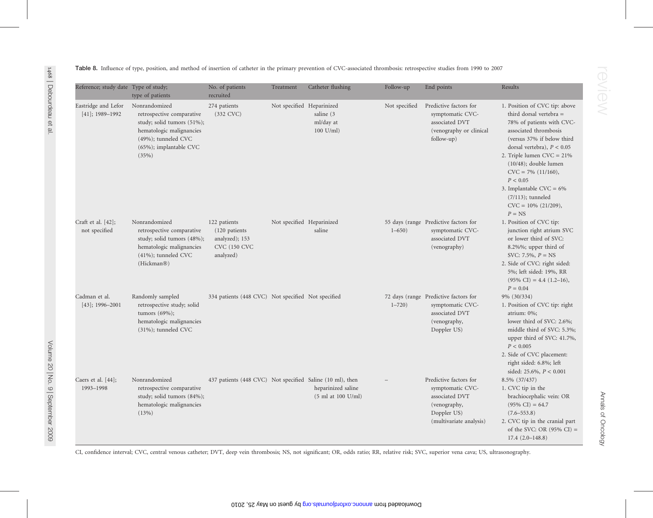| Reference; study date Type of study;       | type of patients                                                                                                                                               | No. of patients<br>recruited                                                         | Treatment                 | Catheter flushing                                           | Follow-up     | End points                                                                                                             | Results                                                                                                                                                                                                                                                                                                                                                                   |
|--------------------------------------------|----------------------------------------------------------------------------------------------------------------------------------------------------------------|--------------------------------------------------------------------------------------|---------------------------|-------------------------------------------------------------|---------------|------------------------------------------------------------------------------------------------------------------------|---------------------------------------------------------------------------------------------------------------------------------------------------------------------------------------------------------------------------------------------------------------------------------------------------------------------------------------------------------------------------|
| Eastridge and Lefor<br>$[41]; 1989 - 1992$ | Nonrandomized<br>retrospective comparative<br>study; solid tumors (51%);<br>hematologic malignancies<br>(49%); tunneled CVC<br>(65%); implantable CVC<br>(35%) | 274 patients<br>$(332$ CVC $)$                                                       | Not specified Heparinized | saline (3)<br>ml/day at<br>$100$ U/ml)                      | Not specified | Predictive factors for<br>symptomatic CVC-<br>associated DVT<br>(venography or clinical<br>follow-up)                  | 1. Position of CVC tip: above<br>third dorsal vertebra =<br>78% of patients with CVC-<br>associated thrombosis<br>(versus 37% if below third<br>dorsal vertebra), $P < 0.05$<br>2. Triple lumen $CVC = 21\%$<br>$(10/48)$ ; double lumen<br>$CVC = 7\% (11/160),$<br>P < 0.05<br>3. Implantable $CVC = 6\%$<br>$(7/113)$ ; tunneled<br>$CVC = 10\% (21/209),$<br>$P = NS$ |
| Craft et al. [42];<br>not specified        | Nonrandomized<br>retrospective comparative<br>study; solid tumors (48%);<br>hematologic malignancies<br>$(41\%)$ ; tunneled CVC<br>(Hickman®)                  | 122 patients<br>(120 patients)<br>analyzed); 153<br><b>CVC</b> (150 CVC<br>analyzed) | Not specified Heparinized | saline                                                      | $1 - 650$     | 55 days (range Predictive factors for<br>symptomatic CVC-<br>associated DVT<br>(venography)                            | 1. Position of CVC tip:<br>junction right atrium SVC<br>or lower third of SVC:<br>8.2%%; upper third of<br>SVC: 7.5%, $P = NS$<br>2. Side of CVC: right sided:<br>5%; left sided: 19%, RR<br>$(95\% \text{ CI}) = 4.4 (1.2 - 16),$<br>$P = 0.04$                                                                                                                          |
| Cadman et al.<br>$[43]$ ; 1996-2001        | Randomly sampled<br>retrospective study; solid<br>tumors $(69\%)$ ;<br>hematologic malignancies<br>$(31\%)$ ; tunneled CVC                                     | 334 patients (448 CVC) Not specified Not specified                                   |                           |                                                             | $1 - 720$     | 72 days (range Predictive factors for<br>symptomatic CVC-<br>associated DVT<br>(venography,<br>Doppler US)             | 9% (30/334)<br>1. Position of CVC tip: right<br>atrium: 0%;<br>lower third of SVC: 2.6%;<br>middle third of SVC: 5.3%;<br>upper third of SVC: 41.7%,<br>P < 0.005<br>2. Side of CVC placement:<br>right sided: 6.8%; left<br>sided: 25.6%, $P < 0.001$                                                                                                                    |
| Caers et al. [44];<br>1993-1998            | Nonrandomized<br>retrospective comparative<br>study; solid tumors (84%);<br>hematologic malignancies<br>(13%)                                                  | 437 patients (448 CVC) Not specified Saline (10 ml), then                            |                           | heparinized saline<br>$(5 \text{ ml at } 100 \text{ U/ml})$ |               | Predictive factors for<br>symptomatic CVC-<br>associated DVT<br>(venography,<br>Doppler US)<br>(multivariate analysis) | 8.5% (37/437)<br>1. CVC tip in the<br>brachiocephalic vein: OR<br>$(95\% \text{ CI}) = 64.7$<br>$(7.6 - 553.8)$<br>2. CVC tip in the cranial part<br>of the SVC: OR $(95\% \text{ CI})$ =<br>$17.4(2.0-148.8)$                                                                                                                                                            |

review

Annals of Oncology

Annals of Oncology

### Table 8. Influence of type, position, and method of insertion of catheter in the primary prevention of CVC-associated thrombosis: retrospective studies from <sup>1990</sup> to <sup>2007</sup>

CI, confidence interval; CVC, central venous catheter; DVT, deep vein thrombosis; NS, not significant; OR, odds ratio; RR, relative risk; SVC, superior vena cava; US, ultrasonography.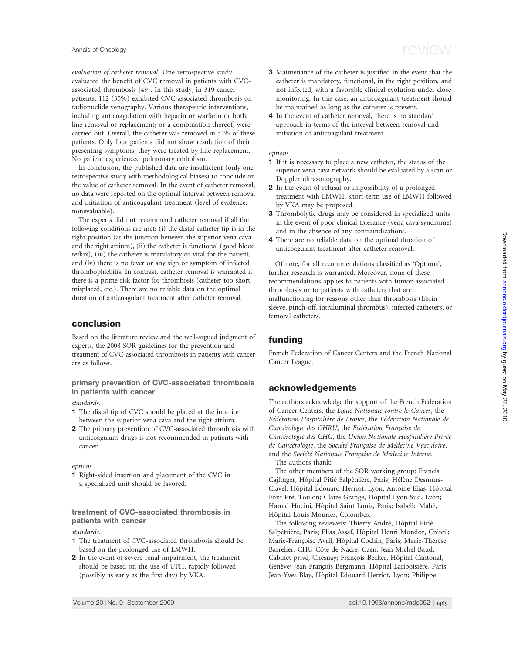evaluation of catheter removal. One retrospective study evaluated the benefit of CVC removal in patients with CVCassociated thrombosis [49]. In this study, in 319 cancer patients, 112 (35%) exhibited CVC-associated thrombosis on radionuclide venography. Various therapeutic interventions, including anticoagulation with heparin or warfarin or both; line removal or replacement; or a combination thereof, were carried out. Overall, the catheter was removed in 52% of these patients. Only four patients did not show resolution of their presenting symptoms; they were treated by line replacement. No patient experienced pulmonary embolism.

In conclusion, the published data are insufficient (only one retrospective study with methodological biases) to conclude on the value of catheter removal. In the event of catheter removal, no data were reported on the optimal interval between removal and initiation of anticoagulant treatment (level of evidence: nonevaluable).

The experts did not recommend catheter removal if all the following conditions are met: (i) the distal catheter tip is in the right position (at the junction between the superior vena cava and the right atrium), (ii) the catheter is functional (good blood reflux), (iii) the catheter is mandatory or vital for the patient, and (iv) there is no fever or any sign or symptom of infected thrombophlebitis. In contrast, catheter removal is warranted if there is a prime risk factor for thrombosis (catheter too short, misplaced, etc.). There are no reliable data on the optimal duration of anticoagulant treatment after catheter removal.

# conclusion

Based on the literature review and the well-argued judgment of experts, the 2008 SOR guidelines for the prevention and treatment of CVC-associated thrombosis in patients with cancer are as follows.

primary prevention of CVC-associated thrombosis in patients with cancer

standards.

- 1 The distal tip of CVC should be placed at the junction between the superior vena cava and the right atrium.
- 2 The primary prevention of CVC-associated thrombosis with anticoagulant drugs is not recommended in patients with cancer.

options.

1 Right-sided insertion and placement of the CVC in a specialized unit should be favored.

treatment of CVC-associated thrombosis in patients with cancer

## standards.

- 1 The treatment of CVC-associated thrombosis should be based on the prolonged use of LMWH.
- 2 In the event of severe renal impairment, the treatment should be based on the use of UFH, rapidly followed (possibly as early as the first day) by VKA.
- 3 Maintenance of the catheter is justified in the event that the catheter is mandatory, functional, in the right position, and not infected, with a favorable clinical evolution under close monitoring. In this case, an anticoagulant treatment should be maintained as long as the catheter is present.
- 4 In the event of catheter removal, there is no standard approach in terms of the interval between removal and initiation of anticoagulant treatment.

## options.

- 1 If it is necessary to place a new catheter, the status of the superior vena cava network should be evaluated by a scan or Doppler ultrasonography.
- 2 In the event of refusal or impossibility of a prolonged treatment with LMWH, short-term use of LMWH followed by VKA may be proposed.
- 3 Thrombolytic drugs may be considered in specialized units in the event of poor clinical tolerance (vena cava syndrome) and in the absence of any contraindications.
- 4 There are no reliable data on the optimal duration of anticoagulant treatment after catheter removal.

Of note, for all recommendations classified as 'Options', further research is warranted. Moreover, none of these recommendations applies to patients with tumor-associated thrombosis or to patients with catheters that are malfunctioning for reasons other than thrombosis (fibrin sleeve, pinch-off, intraluminal thrombus), infected catheters, or femoral catheters.

# funding

French Federation of Cancer Centers and the French National Cancer League.

## acknowledgements

The authors acknowledge the support of the French Federation of Cancer Centers, the Ligue Nationale contre le Cancer, the Fédération Hospitalière de France, the Fédération Nationale de Cancérologie des CHRU, the Fédération Française de Cancérologie des CHG, the Union Nationale Hospitalière Privée de Cancérologie, the Société Française de Médecine Vasculaire, and the Société Nationale Française de Médecine Interne. The authors thank:

The other members of the SOR working group: Francis Cajfinger, Hôpital Pitié Salpêtrière, Paris; Hélène Desmurs-Clavel, Hôpital Édouard Herriot, Lyon; Antoine Elias, Hôpital Font Pré, Toulon; Claire Grange, Hôpital Lyon Sud, Lyon; Hamid Hocini, Hôpital Saint Louis, Paris; Isabelle Mahé, Hôpital Louis Mourier, Colombes.

The following reviewers: Thierry André, Hôpital Pitié Salpêtrière, Paris; Elias Assaf, Hôpital Henri Mondor, Créteil; Marie-Françoise Avril, Hôpital Cochin, Paris; Marie-Thèrese Barrelier, CHU Côte de Nacre, Caen; Jean Michel Baud, Cabinet privé, Chesnay; François Becker, Hôpital Cantonal, Genève; Jean-François Bergmann, Hôpital Lariboisière, Paris; Jean-Yves Blay, Hôpital Edouard Herriot, Lyon; Philippe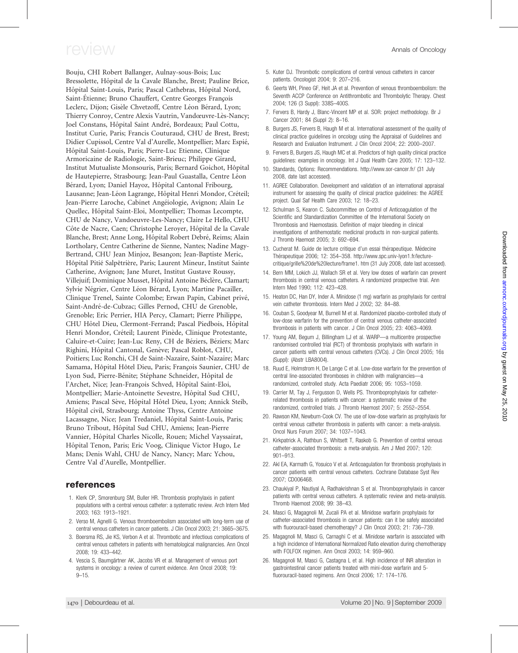# $r$ eview Annals of Oncology Annals of Oncology

Bouju, CHI Robert Ballanger, Aulnay-sous-Bois; Luc Bressolette, Hôpital de la Cavale Blanche, Brest; Pauline Brice, Hôpital Saint-Louis, Paris; Pascal Cathebras, Hôpital Nord, Saint-Étienne; Bruno Chauffert, Centre Georges François Leclerc, Dijon; Gisèle Chvetzoff, Centre Léon Bérard, Lyon; Thierry Conroy, Centre Alexis Vautrin, Vandœuvre-Lès-Nancy; Joel Constans, Hôpital Saint André, Bordeaux; Paul Cottu, Institut Curie, Paris; Francis Couturaud, CHU de Brest, Brest; Didier Cupissol, Centre Val d'Aurelle, Montpellier; Marc Espié, Hôpital Saint-Louis, Paris; Pierre-Luc Etienne, Clinique Armoricaine de Radiologie, Saint-Brieuc; Philippe Girard, Institut Mutualiste Monsouris, Paris; Bernard Goichot, Hôpital de Hautepierre, Strasbourg; Jean-Paul Guastalla, Centre Léon Bérard, Lyon; Daniel Hayoz, Hôpital Cantonal Fribourg, Lausanne; Jean-Léon Lagrange, Hôpital Henri Mondor, Créteil; Jean-Pierre Laroche, Cabinet Angéiologie, Avignon; Alain Le Quellec, Hôpital Saint-Eloi, Montpellier; Thomas Lecompte, CHU de Nancy, Vandoeuvre-Les-Nancy; Claire Le Hello, CHU Côte de Nacre, Caen; Christophe Leroyer, Hôpital de la Cavale Blanche, Brest; Anne Long, Hôpital Robert Debré, Reims; Alain Lortholary, Centre Catherine de Sienne, Nantes; Nadine Magy-Bertrand, CHU Jean Minjoz, Besançon; Jean-Baptiste Meric, Hôpital Pitié Salpêtrière, Paris; Laurent Mineur, Institut Sainte Catherine, Avignon; Jane Muret, Institut Gustave Roussy, Villejuif; Dominique Musset, Hôpital Antoine Béclère, Clamart; Sylvie Négrier, Centre Léon Bérard, Lyon; Martine Pacailler, Clinique Trenel, Sainte Colombe; Erwan Papin, Cabinet privé, Saint-André-de-Cubzac; Gilles Pernod, CHU de Grenoble, Grenoble; Eric Perrier, HIA Percy, Clamart; Pierre Philippe, CHU Hôtel Dieu, Clermont-Ferrand; Pascal Piedbois, Hôpital Henri Mondor, Créteil; Laurent Pinède, Clinique Protestante, Caluire-et-Cuire; Jean-Luc Reny, CH de Béziers, Béziers; Marc Righini, Hôpital Cantonal, Genève; Pascal Roblot, CHU, Poitiers; Luc Ronchi, CH de Saint-Nazaire, Saint-Nazaire; Marc Samama, Hôpital Hôtel Dieu, Paris; François Saunier, CHU de Lyon Sud, Pierre-Bénite; Stéphane Schneider, Hôpital de l'Archet, Nice; Jean-François Schved, Hôpital Saint-Eloi, Montpellier; Marie-Antoinette Sevestre, Hôpital Sud CHU, Amiens; Pascal Sève, Hôpital Hôtel Dieu, Lyon; Annick Steib, Hôpital civil, Strasbourg; Antoine Thyss, Centre Antoine Lacassagne, Nice; Jean Tredaniel, Hôpital Saint-Louis, Paris; Bruno Tribout, Hôpital Sud CHU, Amiens; Jean-Pierre Vannier, Hôpital Charles Nicolle, Rouen; Michel Vayssairat, Hôpital Tenon, Paris; Eric Voog, Clinique Victor Hugo, Le Mans; Denis Wahl, CHU de Nancy, Nancy; Marc Ychou, Centre Val d'Aurelle, Montpellier.

# references

- 1. Klerk CP, Smorenburg SM, Buller HR. Thrombosis prophylaxis in patient populations with a central venous catheter: a systematic review. Arch Intern Med 2003; 163: 1913–1921.
- 2. Verso M, Agnelli G. Venous thromboembolism associated with long-term use of central venous catheters in cancer patients. J Clin Oncol 2003; 21: 3665–3675.
- 3. Boersma RS, Jie KS, Verbon A et al. Thrombotic and infectious complications of central venous catheters in patients with hematological malignancies. Ann Oncol 2008; 19: 433–442.
- 4. Vescia S, Baumgärtner AK, Jacobs VR et al. Management of venous port systems in oncology: a review of current evidence. Ann Oncol 2008; 19: 9–15.
- 
- 5. Kuter DJ. Thrombotic complications of central venous catheters in cancer patients. Oncologist 2004; 9: 207–216.
- 6. Geerts WH, Pineo GF, Heit JA et al. Prevention of venous thromboembolism: the Seventh ACCP Conference on Antithrombotic and Thrombolytic Therapy. Chest 2004; 126 (3 Suppl): 338S–400S.
- 7. Fervers B, Hardy J, Blanc-Vincent MP et al. SOR: project methodology. Br J Cancer 2001; 84 (Suppl 2): 8–16.
- 8. Burgers JS, Fervers B, Haugh M et al. International assessment of the quality of clinical practice guidelines in oncology using the Appraisal of Guidelines and Research and Evaluation Instrument. J Clin Oncol 2004; 22: 2000–2007.
- 9. Fervers B, Burgers JS, Haugh MC et al. Predictors of high quality clinical practice guidelines: examples in oncology. Int J Qual Health Care 2005; 17: 123–132.
- 10. Standards, Options: Recommendations.<http://www.sor-cancer.fr/> (31 July 2008, date last accessed).
- 11. AGREE Collaboration. Development and validation of an international appraisal instrument for assessing the quality of clinical practice guidelines: the AGREE project. Qual Saf Health Care 2003; 12: 18–23.
- 12. Schulman S, Kearon C. Subcommittee on Control of Anticoagulation of the Scientific and Standardization Committee of the International Society on Thrombosis and Haemostasis. Definition of major bleeding in clinical investigations of antihemostatic medicinal products in non-surgical patients. J Thromb Haemost 2005; 3: 692–694.
- 13. Cucherat M. Guide de lecture critique d'un essai thérapeutique. Médecine Thérapeutique 2006; 12: 354-358. [http://www.spc.univ-lyon1.fr/lecture](http://www.spc.univ-lyon1.fr/lecture-critique/grille%20de%20lecture/frame1. htm)[critique/grille%20de%20lecture/frame1. htm](http://www.spc.univ-lyon1.fr/lecture-critique/grille%20de%20lecture/frame1. htm) (31 July 2008, date last accessed).
- 14. Bern MM, Lokich JJ, Wallach SR et al. Very low doses of warfarin can prevent thrombosis in central venous catheters. A randomized prospective trial. Ann Intern Med 1990; 112: 423–428.
- 15. Heaton DC, Han DY, Inder A. Minidose (1 mg) warfarin as prophylaxis for central vein catheter thrombosis. Intern Med J 2002; 32: 84–88.
- 16. Couban S, Goodyear M, Burnell M et al. Randomized placebo-controlled study of low-dose warfarin for the prevention of central venous catheter-associated thrombosis in patients with cancer. J Clin Oncol 2005; 23: 4063–4069.
- 17. Young AM, Begum J, Billingham LJ et al. WARP—a multicentre prospective randomised controlled trial (RCT) of thrombosis prophylaxis with warfarin in cancer patients with central venous catheters (CVCs). J Clin Oncol 2005; 16s (Suppl): (Abstr LBA8004).
- 18. Ruud E, Holmstrom H, De Lange C et al. Low-dose warfarin for the prevention of central line-associated thromboses in children with malignancies—a randomized, controlled study. Acta Paediatr 2006; 95: 1053–1059.
- 19. Carrier M, Tay J, Fergusson D, Wells PS. Thromboprophylaxis for catheterrelated thrombosis in patients with cancer: a systematic review of the randomized, controlled trials. J Thromb Haemost 2007; 5: 2552–2554.
- 20. Rawson KM, Newburn-Cook CV. The use of low-dose warfarin as prophylaxis for central venous catheter thrombosis in patients with cancer: a meta-analysis. Oncol Nurs Forum 2007; 34: 1037–1043.
- 21. Kirkpatrick A, Rathbun S, Whitsett T, Raskob G. Prevention of central venous catheter-associated thrombosis: a meta-analysis. Am J Med 2007; 120: 901–913.
- 22. Akl EA, Karmath G, Yosuico V et al. Anticoagulation for thrombosis prophylaxis in cancer patients with central venous catheters. Cochrane Database Syst Rev 2007; CD006468.
- 23. Chaukiyal P, Nautiyal A, Radhakrishnan S et al. Thromboprophylaxis in cancer patients with central venous catheters. A systematic review and meta-analysis. Thromb Haemost 2008; 99: 38–43.
- 24. Masci G, Magagnoli M, Zucali PA et al. Minidose warfarin prophylaxis for catheter-associated thrombosis in cancer patients: can it be safely associated with fluorouracil-based chemotherapy? J Clin Oncol 2003; 21: 736–739.
- 25. Magagnoli M, Masci G, Carnaghi C et al. Minidose warfarin is associated with a high incidence of International Normalized Ratio elevation during chemotherapy with FOLFOX regimen. Ann Oncol 2003; 14: 959–960.
- 26. Magagnoli M, Masci G, Castagna L et al. High incidence of INR alteration in gastrointestinal cancer patients treated with mini-dose warfarin and 5 fluorouracil-based regimens. Ann Oncol 2006; 17: 174–176.